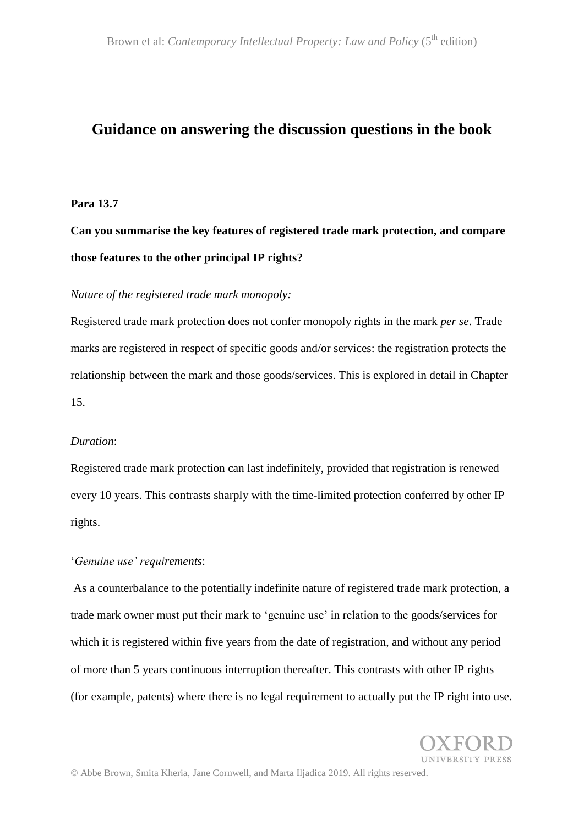# **Guidance on answering the discussion questions in the book**

#### **Para 13.7**

**Can you summarise the key features of registered trade mark protection, and compare those features to the other principal IP rights?**

# *Nature of the registered trade mark monopoly:*

Registered trade mark protection does not confer monopoly rights in the mark *per se*. Trade marks are registered in respect of specific goods and/or services: the registration protects the relationship between the mark and those goods/services. This is explored in detail in Chapter 15.

#### *Duration*:

Registered trade mark protection can last indefinitely, provided that registration is renewed every 10 years. This contrasts sharply with the time-limited protection conferred by other IP rights.

# '*Genuine use' requirements*:

As a counterbalance to the potentially indefinite nature of registered trade mark protection, a trade mark owner must put their mark to 'genuine use' in relation to the goods/services for which it is registered within five years from the date of registration, and without any period of more than 5 years continuous interruption thereafter. This contrasts with other IP rights (for example, patents) where there is no legal requirement to actually put the IP right into use.

INIVERSITY PRESS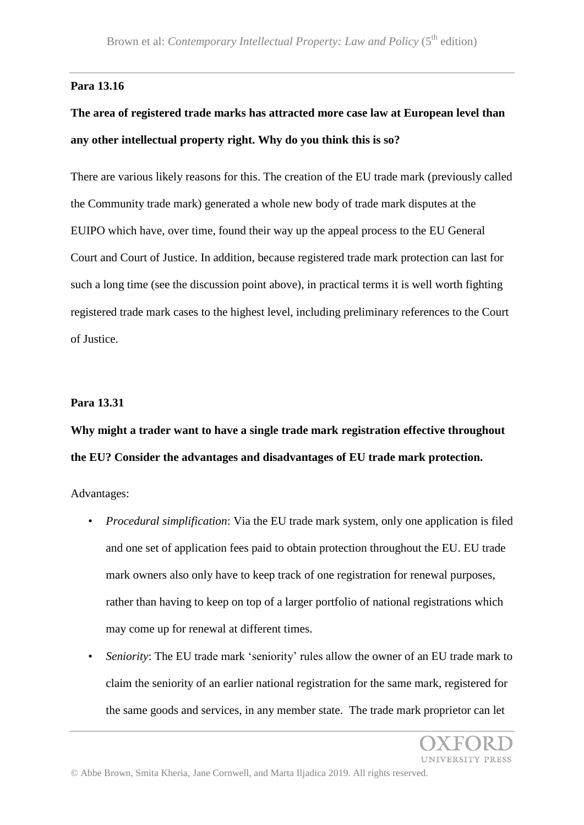# **Para 13.16**

# **The area of registered trade marks has attracted more case law at European level than any other intellectual property right. Why do you think this is so?**

There are various likely reasons for this. The creation of the EU trade mark (previously called the Community trade mark) generated a whole new body of trade mark disputes at the EUIPO which have, over time, found their way up the appeal process to the EU General Court and Court of Justice. In addition, because registered trade mark protection can last for such a long time (see the discussion point above), in practical terms it is well worth fighting registered trade mark cases to the highest level, including preliminary references to the Court of Justice.

#### **Para 13.31**

**Why might a trader want to have a single trade mark registration effective throughout the EU? Consider the advantages and disadvantages of EU trade mark protection.**

Advantages:

- *Procedural simplification*: Via the EU trade mark system, only one application is filed and one set of application fees paid to obtain protection throughout the EU. EU trade mark owners also only have to keep track of one registration for renewal purposes, rather than having to keep on top of a larger portfolio of national registrations which may come up for renewal at different times.
- *Seniority*: The EU trade mark 'seniority' rules allow the owner of an EU trade mark to claim the seniority of an earlier national registration for the same mark, registered for the same goods and services, in any member state. The trade mark proprietor can let